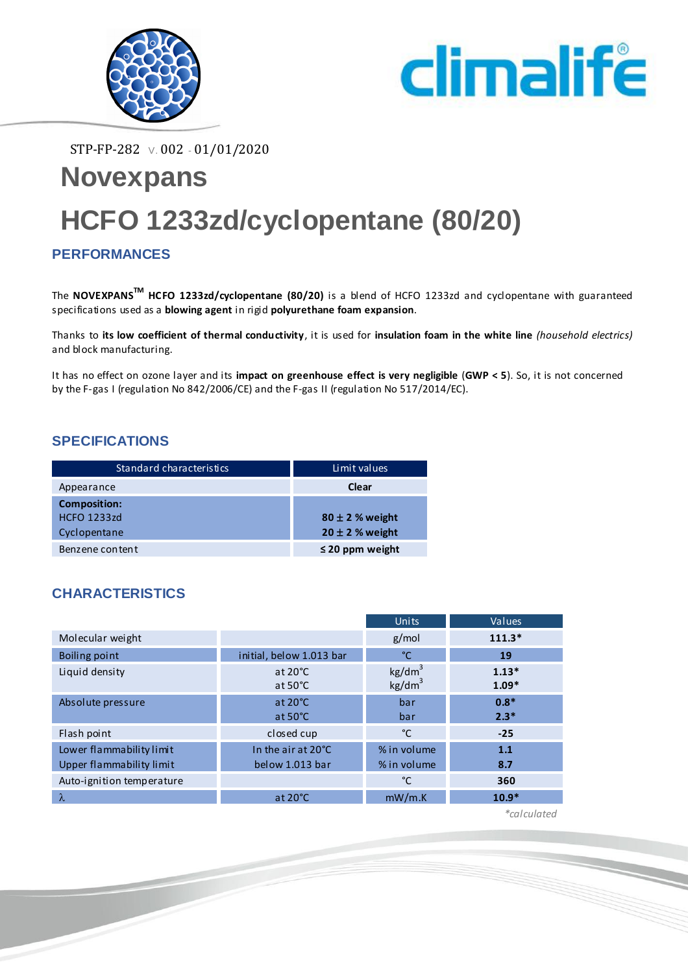



STP-FP-282 V. 002 - 01/01/2020

# **Novexpans HCFO 1233zd/cyclopentane (80/20)**

### **PERFORMANCES**

The **NOVEXPANSTM HCFO 1233zd/cyclopentane (80/20)** is a blend of HCFO 1233zd and cyclopentane with guaranteed specifications used as a **blowing agent** in rigid **polyurethane foam expansion**.

Thanks to **its low coefficient of thermal conductivity**, it is used for **insulation foam in the white line** *(household electrics)* and block manufacturing.

It has no effect on ozone layer and its **impact on greenhouse effect is very negligible** (**GWP < 5**). So, it is not concerned by the F-gas I (regulation No 842/2006/CE) and the F-gas II (regulation No 517/2014/EC).

#### **SPECIFICATIONS**

| Standard characteristics | Limit values         |
|--------------------------|----------------------|
| Appearance               | Clear                |
| <b>Composition:</b>      |                      |
| <b>HCFO 1233zd</b>       | $80 \pm 2$ % weight  |
| Cyclopentane             | $20 \pm 2$ % weight  |
| Benzene content          | $\leq$ 20 ppm weight |

#### **CHARACTERISTICS**

|                           |                                        | Units                                    | Values             |
|---------------------------|----------------------------------------|------------------------------------------|--------------------|
| Molecular weight          |                                        | g/mol                                    | $111.3*$           |
| Boiling point             | initial, below 1.013 bar               | °C                                       | 19                 |
| Liquid density            | at $20^{\circ}$ C<br>at $50^{\circ}$ C | kg/dm <sup>3</sup><br>kg/dm <sup>3</sup> | $1.13*$<br>$1.09*$ |
| Absolute pressure         | at $20^{\circ}$ C                      | bar                                      | $0.8*$             |
|                           | at $50^{\circ}$ C                      | bar                                      | $2.3*$             |
| Flash point               | closed cup                             | °C                                       | $-25$              |
| Lower flammability limit  | In the air at 20°C                     | % in volume                              | 1.1                |
| Upper flammability limit  | below 1.013 bar                        | % in volume                              | 8.7                |
| Auto-ignition temperature |                                        | °C                                       | 360                |
| $\lambda$                 | at $20^{\circ}$ C                      | mW/m.K                                   | $10.9*$            |

 *\*calculated*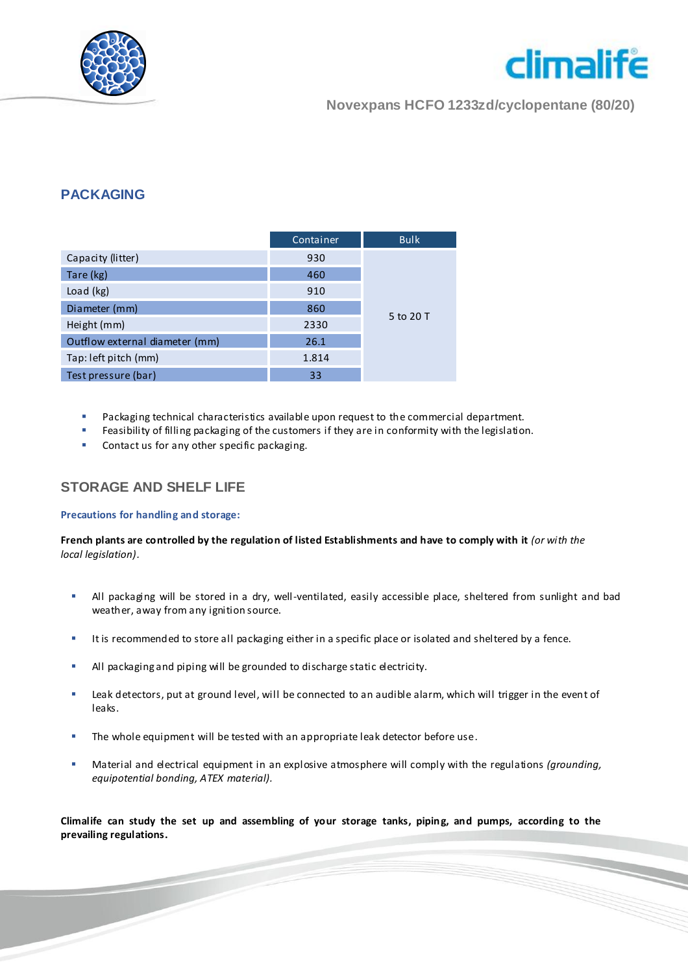



**Novexpans HCFO 1233zd/cyclopentane (80/20)**

#### **PACKAGING**

|                                | Container | <b>Bulk</b> |
|--------------------------------|-----------|-------------|
| Capacity (litter)              | 930       |             |
| Tare (kg)                      | 460       |             |
| Load (kg)                      | 910       |             |
| Diameter (mm)                  | 860       | 5 to 20 T   |
| Height (mm)                    | 2330      |             |
| Outflow external diameter (mm) | 26.1      |             |
| Tap: left pitch (mm)           | 1.814     |             |
| Test pressure (bar)            | 33        |             |

- Packaging technical characteristics available upon request to the commercial department.
- Feasibility of filling packaging of the customers if they are in conformity with the legislation.
- Contact us for any other specific packaging.

#### **STORAGE AND SHELF LIFE**

#### **Precautions for handling and storage:**

**French plants are controlled by the regulation of listed Establishments and have to comply with it** *(or with the local legislation).*

- All packaging will be stored in a dry, well-ventilated, easily accessible place, sheltered from sunlight and bad weather, away from any ignition source.
- It is recommended to store all packaging either in a specific place or isolated and sheltered by a fence.
- All packaging and piping will be grounded to discharge static electricity.
- Leak detectors, put at ground level, will be connected to an audible alarm, which will trigger in the event of leaks.
- The whole equipment will be tested with an appropriate leak detector before use.
- Material and electrical equipment in an explosive atmosphere will comply with the regulations *(grounding, equipotential bonding, ATEX material).*

**Climalife can study the set up and assembling of your storage tanks, piping, and pumps, according to the prevailing regulations.**